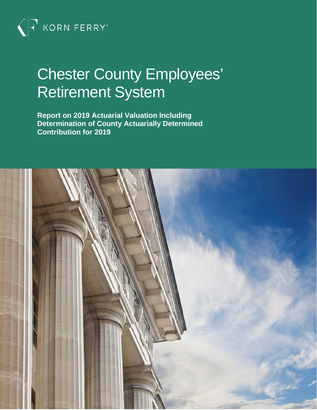

# Chester County Employees' Retirement System

**Report on 2019 Actuarial Valuation Including Determination of County Actuarially Determined Contribution for 2019**

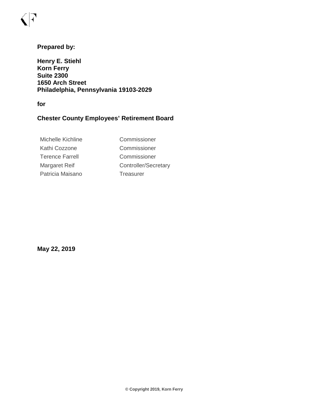### **Prepared by:**

**Henry E. Stiehl Korn Ferry Suite 2300 1650 Arch Street Philadelphia, Pennsylvania 19103-2029**

**for**

### **Chester County Employees' Retirement Board**

| Commissioner         |
|----------------------|
| Commissioner         |
| Commissioner         |
| Controller/Secretary |
| Treasurer            |
|                      |

**May 22, 2019**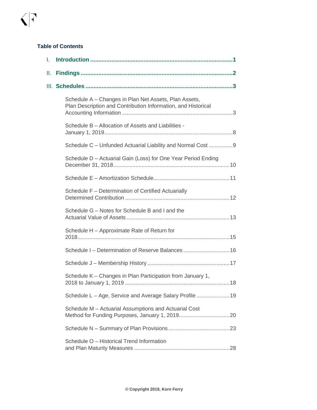#### **Table of Contents**

| I. |                                                                                                                        |
|----|------------------------------------------------------------------------------------------------------------------------|
| Ш. |                                                                                                                        |
|    |                                                                                                                        |
|    | Schedule A - Changes in Plan Net Assets, Plan Assets,<br>Plan Description and Contribution Information, and Historical |
|    | Schedule B - Allocation of Assets and Liabilities -                                                                    |
|    | Schedule C - Unfunded Actuarial Liability and Normal Cost 9                                                            |
|    | Schedule D - Actuarial Gain (Loss) for One Year Period Ending                                                          |
|    |                                                                                                                        |
|    | Schedule F - Determination of Certified Actuarially                                                                    |
|    | Schedule G - Notes for Schedule B and I and the                                                                        |
|    | Schedule H - Approximate Rate of Return for                                                                            |
|    | Schedule I - Determination of Reserve Balances 16                                                                      |
|    |                                                                                                                        |
|    | Schedule K - Changes in Plan Participation from January 1,                                                             |
|    | Schedule L - Age, Service and Average Salary Profile 19                                                                |
|    | Schedule M - Actuarial Assumptions and Actuarial Cost                                                                  |
|    |                                                                                                                        |
|    | Schedule O - Historical Trend Information                                                                              |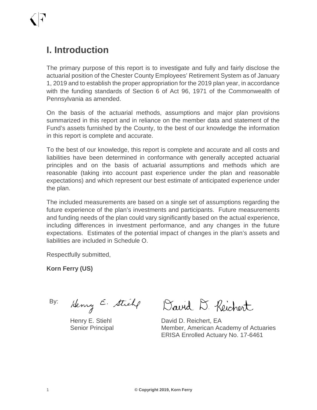# **I. Introduction**

The primary purpose of this report is to investigate and fully and fairly disclose the actuarial position of the Chester County Employees' Retirement System as of January 1, 2019 and to establish the proper appropriation for the 2019 plan year, in accordance with the funding standards of Section 6 of Act 96, 1971 of the Commonwealth of Pennsylvania as amended.

On the basis of the actuarial methods, assumptions and major plan provisions summarized in this report and in reliance on the member data and statement of the Fund's assets furnished by the County, to the best of our knowledge the information in this report is complete and accurate.

To the best of our knowledge, this report is complete and accurate and all costs and liabilities have been determined in conformance with generally accepted actuarial principles and on the basis of actuarial assumptions and methods which are reasonable (taking into account past experience under the plan and reasonable expectations) and which represent our best estimate of anticipated experience under the plan.

The included measurements are based on a single set of assumptions regarding the future experience of the plan's investments and participants. Future measurements and funding needs of the plan could vary significantly based on the actual experience, including differences in investment performance, and any changes in the future expectations. Estimates of the potential impact of changes in the plan's assets and liabilities are included in Schedule O.

Respectfully submitted,

**Korn Ferry (US)**

By:

Henry E. Stick

Henry E. Stiehl Senior Principal

David D. Reichert

David D. Reichert, EA Member, American Academy of Actuaries ERISA Enrolled Actuary No. 17-6461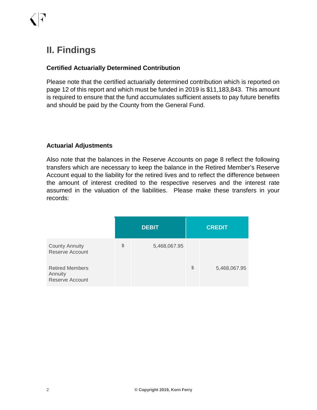# **II. Findings**

### **Certified Actuarially Determined Contribution**

Please note that the certified actuarially determined contribution which is reported on page 12 of this report and which must be funded in 2019 is \$11,183,843. This amount is required to ensure that the fund accumulates sufficient assets to pay future benefits and should be paid by the County from the General Fund.

### **Actuarial Adjustments**

Also note that the balances in the Reserve Accounts on page 8 reflect the following transfers which are necessary to keep the balance in the Retired Member's Reserve Account equal to the liability for the retired lives and to reflect the difference between the amount of interest credited to the respective reserves and the interest rate assumed in the valuation of the liabilities. Please make these transfers in your records:

|                                                             | <b>DEBIT</b> |              | <b>CREDIT</b>      |
|-------------------------------------------------------------|--------------|--------------|--------------------|
| <b>County Annuity</b><br>Reserve Account                    | \$           | 5,468,067.95 |                    |
| <b>Retired Members</b><br>Annuity<br><b>Reserve Account</b> |              |              | \$<br>5,468,067.95 |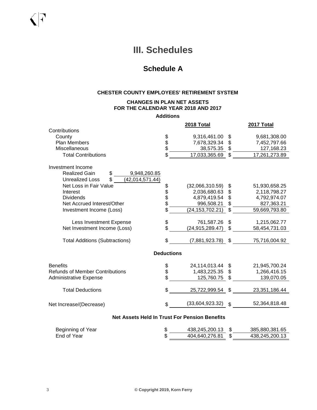# **III. Schedules**

### **Schedule A**

#### **CHESTER COUNTY EMPLOYEES' RETIREMENT SYSTEM**

#### **CHANGES IN PLAN NET ASSETS FOR THE CALENDAR YEAR 2018 AND 2017**

**Additions**

| 2017 Total                      | 2018 Total        |                   |                                                                                                  |
|---------------------------------|-------------------|-------------------|--------------------------------------------------------------------------------------------------|
|                                 |                   |                   | Contributions                                                                                    |
| 9,681,308.00<br>\$              | 9,316,461.00      |                   | County                                                                                           |
| \$<br>7,452,797.66              | 7,678,329.34      |                   | <b>Plan Members</b>                                                                              |
| \$<br>127, 168. 23              | 38,575.35         | \$<br>\$          | Miscellaneous                                                                                    |
| 17,261,273.89<br>\$             | 17,033,365.69     | \$                | <b>Total Contributions</b>                                                                       |
|                                 |                   |                   | Investment Income                                                                                |
|                                 |                   |                   | <b>Realized Gain</b><br>\$<br>9,948,260.85<br>\$.<br><b>Unrealized Loss</b><br>(42, 014, 571.44) |
| \$<br>51,930,658.25             | (32,066,310.59)   | \$                | Net Loss in Fair Value                                                                           |
| \$<br>2,118,798.27              | 2,036,680.63      |                   | Interest                                                                                         |
| \$<br>4,792,974.07              | 4,879,419.54      | \$\$              | <b>Dividends</b>                                                                                 |
| \$<br>827,363.21                | 996,508.21        |                   | Net Accrued Interest/Other                                                                       |
| \$<br>59,669,793.80             | (24, 153, 702.21) | \$                | Investment Income (Loss)                                                                         |
|                                 |                   |                   |                                                                                                  |
| \$<br>1,215,062.77              | 761,587.26        | \$                | Less Investment Expense                                                                          |
| \$<br>58,454,731.03             | (24, 915, 289.47) | \$                | Net Investment Income (Loss)                                                                     |
| \$<br>75,716,004.92             | (7,881,923.78)    | \$                | <b>Total Additions (Subtractions)</b>                                                            |
|                                 |                   | <b>Deductions</b> |                                                                                                  |
| \$<br>21,945,700.24             | 24,114,013.44     |                   | <b>Benefits</b>                                                                                  |
| \$<br>1,266,416.15              | 1,483,225.35      | \$<br>\$          | <b>Refunds of Member Contributions</b>                                                           |
| \$<br>139,070.05                | 125,760.75        |                   | <b>Administrative Expense</b>                                                                    |
|                                 |                   |                   |                                                                                                  |
| \$<br>23,351,186.44             | 25,722,999.54     | \$                | <b>Total Deductions</b>                                                                          |
| 52,364,818.48<br>$\mathfrak{S}$ | (33,604,923.32)   | \$                | Net Increase/(Decrease)                                                                          |
|                                 |                   |                   |                                                                                                  |

#### **Net Assets Held In Trust For Pension Benefits**

| Beginning of Year | 438.245.200.13 | 385,880,381.65 |
|-------------------|----------------|----------------|
| End of Year       | 404,640,276.81 | 438,245,200.13 |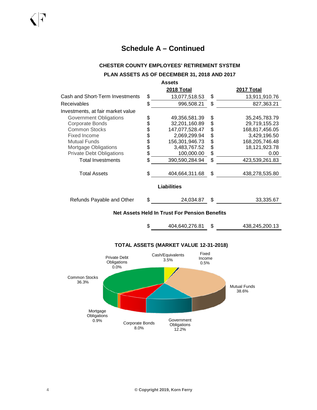#### **CHESTER COUNTY EMPLOYEES' RETIREMENT SYSTEM**

#### **PLAN ASSETS AS OF DECEMBER 31, 2018 AND 2017**

| <b>Assets</b>                     |    |                |    |                |  |  |
|-----------------------------------|----|----------------|----|----------------|--|--|
|                                   |    | 2018 Total     |    | 2017 Total     |  |  |
| Cash and Short-Term Investments   | \$ | 13,077,518.53  | \$ | 13,911,910.76  |  |  |
| Receivables                       | \$ | 996,508.21     | \$ | 827,363.21     |  |  |
| Investments, at fair market value |    |                |    |                |  |  |
| Government Obligations            | \$ | 49,356,581.39  | \$ | 35,245,783.79  |  |  |
| Corporate Bonds                   | \$ | 32,201,160.89  | \$ | 29,719,155.23  |  |  |
| <b>Common Stocks</b>              | \$ | 147,077,528.47 | \$ | 168,817,456.05 |  |  |
| <b>Fixed Income</b>               | \$ | 2,069,299.94   | \$ | 3,429,196.50   |  |  |
| <b>Mutual Funds</b>               | \$ | 156,301,946.73 | \$ | 168,205,746.48 |  |  |
| Mortgage Obligations              | \$ | 3,483,767.52   | \$ | 18,121,923.78  |  |  |
| <b>Private Debt Obligations</b>   | \$ | 100,000.00     | \$ | 0.00           |  |  |
| <b>Total Investments</b>          | \$ | 390,590,284.94 | \$ | 423,539,261.83 |  |  |
| <b>Total Assets</b>               | \$ | 404,664,311.68 | \$ | 438,278,535.80 |  |  |
| Liabilities                       |    |                |    |                |  |  |
| Refunds Payable and Other         | \$ | 24,034.87      | \$ | 33,335.67      |  |  |

#### **Net Assets Held In Trust For Pension Benefits**

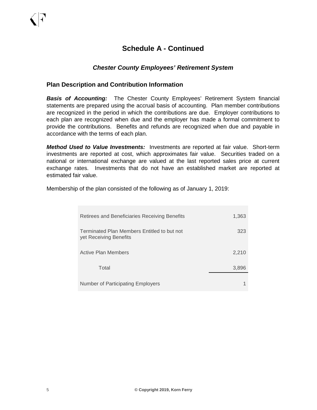### *Chester County Employees' Retirement System*

#### **Plan Description and Contribution Information**

*Basis of Accounting:* The Chester County Employees' Retirement System financial statements are prepared using the accrual basis of accounting. Plan member contributions are recognized in the period in which the contributions are due. Employer contributions to each plan are recognized when due and the employer has made a formal commitment to provide the contributions. Benefits and refunds are recognized when due and payable in accordance with the terms of each plan.

*Method Used to Value Investments:* Investments are reported at fair value. Short-term investments are reported at cost, which approximates fair value. Securities traded on a national or international exchange are valued at the last reported sales price at current exchange rates. Investments that do not have an established market are reported at estimated fair value.

Membership of the plan consisted of the following as of January 1, 2019:

| Retirees and Beneficiaries Receiving Benefits                         | 1,363 |
|-----------------------------------------------------------------------|-------|
| Terminated Plan Members Entitled to but not<br>yet Receiving Benefits | 323   |
| Active Plan Members                                                   | 2,210 |
| Total                                                                 | 3,896 |
| Number of Participating Employers                                     |       |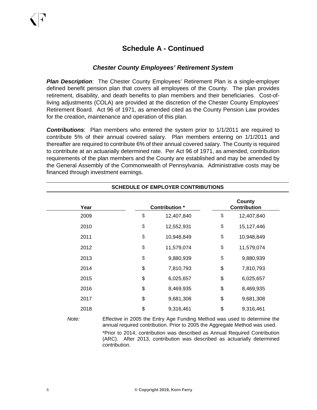### *Chester County Employees' Retirement System*

*Plan Description*: The Chester County Employees' Retirement Plan is a single-employer defined benefit pension plan that covers all employees of the County. The plan provides retirement, disability, and death benefits to plan members and their beneficiaries. Cost-ofliving adjustments (COLA) are provided at the discretion of the Chester County Employees' Retirement Board. Act 96 of 1971, as amended cited as the County Pension Law provides for the creation, maintenance and operation of this plan.

*Contributions*: Plan members who entered the system prior to 1/1/2011 are required to contribute 5% of their annual covered salary. Plan members entering on 1/1/2011 and thereafter are required to contribute 6% of their annual covered salary. The County is required to contribute at an actuarially determined rate. Per Act 96 of 1971, as amended, contribution requirements of the plan members and the County are established and may be amended by the General Assembly of the Commonwealth of Pennsylvania. Administrative costs may be financed through investment earnings.

| <b>SCHEDULE OF EMPLOYER CONTRIBUTIONS</b> |               |                       |    |                                      |  |  |  |
|-------------------------------------------|---------------|-----------------------|----|--------------------------------------|--|--|--|
| Year                                      |               | <b>Contribution</b> * |    | <b>County</b><br><b>Contribution</b> |  |  |  |
| 2009                                      | \$            | 12,407,840            | \$ | 12,407,840                           |  |  |  |
| 2010                                      | $\frac{1}{2}$ | 12,552,931            | \$ | 15,127,446                           |  |  |  |
| 2011                                      | $\frac{1}{2}$ | 10,948,849            | \$ | 10,948,849                           |  |  |  |
| 2012                                      | $\frac{1}{2}$ | 11,579,074            | \$ | 11,579,074                           |  |  |  |
| 2013                                      | $\frac{1}{2}$ | 9,880,939             | \$ | 9,880,939                            |  |  |  |
| 2014                                      | \$            | 7,810,793             | \$ | 7,810,793                            |  |  |  |
| 2015                                      | \$            | 6,025,657             | \$ | 6,025,657                            |  |  |  |
| 2016                                      | \$            | 8,469,935             | \$ | 8,469,935                            |  |  |  |
| 2017                                      | \$            | 9,681,308             | \$ | 9,681,308                            |  |  |  |
| 2018                                      | \$            | 9,316,461             | \$ | 9,316,461                            |  |  |  |

*Note:* Effective in 2005 the Entry Age Funding Method was used to determine the annual required contribution. Prior to 2005 the Aggregate Method was used. \*Prior to 2014, contribution was described as Annual Required Contribution

(ARC). After 2013, contribution was described as actuarially determined contribution.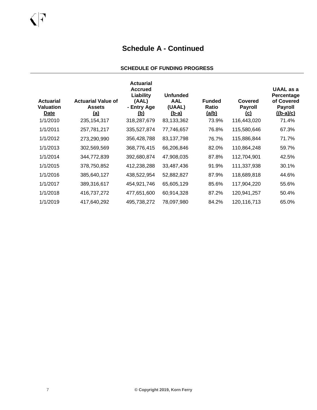#### **SCHEDULE OF FUNDING PROGRESS**

| <b>Actuarial</b><br><b>Valuation</b><br>Date | <b>Actuarial Value of</b><br><b>Assets</b><br><u>(a)</u> | <b>Actuarial</b><br><b>Accrued</b><br>Liability<br>(AAL)<br>- Entry Age<br><u>(b)</u> | <b>Unfunded</b><br><b>AAL</b><br>(UAAL)<br><u>(b-a)</u> | <b>Funded</b><br><b>Ratio</b><br><u>(a/b)</u> | Covered<br><b>Payroll</b><br><u>(c)</u> | UAAL as a<br>Percentage<br>of Covered<br><b>Payroll</b><br>$((b-a)/c)$ |
|----------------------------------------------|----------------------------------------------------------|---------------------------------------------------------------------------------------|---------------------------------------------------------|-----------------------------------------------|-----------------------------------------|------------------------------------------------------------------------|
| 1/1/2010                                     | 235, 154, 317                                            | 318,287,679                                                                           | 83,133,362                                              | 73.9%                                         | 116,443,020                             | 71.4%                                                                  |
| 1/1/2011                                     | 257,781,217                                              | 335,527,874                                                                           | 77,746,657                                              | 76.8%                                         | 115,580,646                             | 67.3%                                                                  |
| 1/1/2012                                     | 273,290,990                                              | 356,428,788                                                                           | 83,137,798                                              | 76.7%                                         | 115,886,844                             | 71.7%                                                                  |
| 1/1/2013                                     | 302,569,569                                              | 368,776,415                                                                           | 66,206,846                                              | 82.0%                                         | 110,864,248                             | 59.7%                                                                  |
| 1/1/2014                                     | 344,772,839                                              | 392,680,874                                                                           | 47,908,035                                              | 87.8%                                         | 112,704,901                             | 42.5%                                                                  |
| 1/1/2015                                     | 378,750,852                                              | 412,238,288                                                                           | 33,487,436                                              | 91.9%                                         | 111,337,938                             | 30.1%                                                                  |
| 1/1/2016                                     | 385,640,127                                              | 438,522,954                                                                           | 52,882,827                                              | 87.9%                                         | 118,689,818                             | 44.6%                                                                  |
| 1/1/2017                                     | 389,316,617                                              | 454,921,746                                                                           | 65,605,129                                              | 85.6%                                         | 117,904,220                             | 55.6%                                                                  |
| 1/1/2018                                     | 416,737,272                                              | 477,651,600                                                                           | 60,914,328                                              | 87.2%                                         | 120,941,257                             | 50.4%                                                                  |
| 1/1/2019                                     | 417,640,292                                              | 495,738,272                                                                           | 78,097,980                                              | 84.2%                                         | 120,116,713                             | 65.0%                                                                  |

 $\bigcap$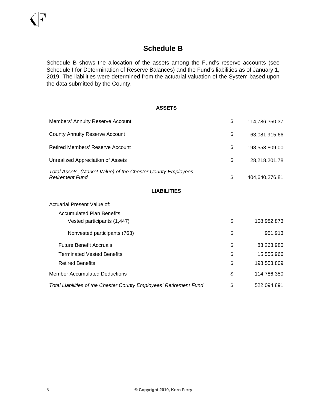### **Schedule B**

Schedule B shows the allocation of the assets among the Fund's reserve accounts (see Schedule I for Determination of Reserve Balances) and the Fund's liabilities as of January 1, 2019. The liabilities were determined from the actuarial valuation of the System based upon the data submitted by the County.

#### **ASSETS**

| Members' Annuity Reserve Account                                                        | \$<br>114,786,350.37 |
|-----------------------------------------------------------------------------------------|----------------------|
| <b>County Annuity Reserve Account</b>                                                   | \$<br>63,081,915.66  |
| <b>Retired Members' Reserve Account</b>                                                 | \$<br>198,553,809.00 |
| <b>Unrealized Appreciation of Assets</b>                                                | \$<br>28,218,201.78  |
| Total Assets, (Market Value) of the Chester County Employees'<br><b>Retirement Fund</b> | \$<br>404,640,276.81 |
| <b>LIABILITIES</b>                                                                      |                      |
| Actuarial Present Value of:                                                             |                      |
| <b>Accumulated Plan Benefits</b>                                                        |                      |
| Vested participants (1,447)                                                             | \$<br>108,982,873    |
| Nonvested participants (763)                                                            | \$<br>951,913        |
| <b>Future Benefit Accruals</b>                                                          | \$<br>83,263,980     |
| <b>Terminated Vested Benefits</b>                                                       | \$<br>15,555,966     |
| <b>Retired Benefits</b>                                                                 | \$<br>198,553,809    |
| <b>Member Accumulated Deductions</b>                                                    | \$<br>114,786,350    |
| Total Liabilities of the Chester County Employees' Retirement Fund                      | \$<br>522,094,891    |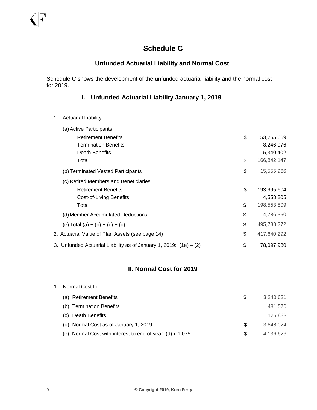### **Schedule C**

### **Unfunded Actuarial Liability and Normal Cost**

Schedule C shows the development of the unfunded actuarial liability and the normal cost for 2019.

### **I. Unfunded Actuarial Liability January 1, 2019**

1. Actuarial Liability:

| (a) Active Participants                                             |                   |
|---------------------------------------------------------------------|-------------------|
| <b>Retirement Benefits</b>                                          | \$<br>153,255,669 |
| <b>Termination Benefits</b>                                         | 8,246,076         |
| Death Benefits                                                      | 5,340,402         |
| Total                                                               | \$<br>166,842,147 |
| (b) Terminated Vested Participants                                  | \$<br>15,555,966  |
| (c) Retired Members and Beneficiaries                               |                   |
| <b>Retirement Benefits</b>                                          | \$<br>193,995,604 |
| Cost-of-Living Benefits                                             | 4,558,205         |
| Total                                                               | \$<br>198,553,809 |
| (d) Member Accumulated Deductions                                   | \$<br>114,786,350 |
| (e) Total (a) + (b) + (c) + (d)                                     | \$<br>495,738,272 |
| 2. Actuarial Value of Plan Assets (see page 14)                     | \$<br>417,640,292 |
| 3. Unfunded Actuarial Liability as of January 1, 2019: $(1e) - (2)$ | \$<br>78,097,980  |
|                                                                     |                   |

### **II. Normal Cost for 2019**

| Normal Cost for:                                          |   |           |
|-----------------------------------------------------------|---|-----------|
| (a) Retirement Benefits                                   | S | 3.240.621 |
| (b) Termination Benefits                                  |   | 481.570   |
| (c) Death Benefits                                        |   | 125,833   |
| (d) Normal Cost as of January 1, 2019                     | S | 3.848.024 |
| (e) Normal Cost with interest to end of year: (d) x 1.075 | S | 4.136.626 |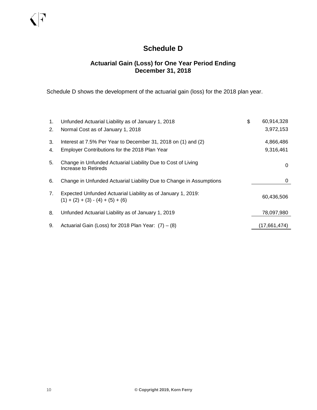### **Schedule D**

### **Actuarial Gain (Loss) for One Year Period Ending December 31, 2018**

Schedule D shows the development of the actuarial gain (loss) for the 2018 plan year.

| 1.<br>2. | Unfunded Actuarial Liability as of January 1, 2018<br>Normal Cost as of January 1, 2018                        | \$<br>60,914,328<br>3,972,153 |
|----------|----------------------------------------------------------------------------------------------------------------|-------------------------------|
| 3.<br>4. | Interest at 7.5% Per Year to December 31, 2018 on (1) and (2)<br>Employer Contributions for the 2018 Plan Year | 4,866,486<br>9,316,461        |
| 5.       | Change in Unfunded Actuarial Liability Due to Cost of Living<br>Increase to Retireds                           | 0                             |
| 6.       | Change in Unfunded Actuarial Liability Due to Change in Assumptions                                            | 0                             |
| 7.       | Expected Unfunded Actuarial Liability as of January 1, 2019:<br>$(1) + (2) + (3) - (4) + (5) + (6)$            | 60,436,506                    |
| 8.       | Unfunded Actuarial Liability as of January 1, 2019                                                             | 78,097,980                    |
| 9.       | Actuarial Gain (Loss) for 2018 Plan Year: $(7) - (8)$                                                          | (17,661,474)                  |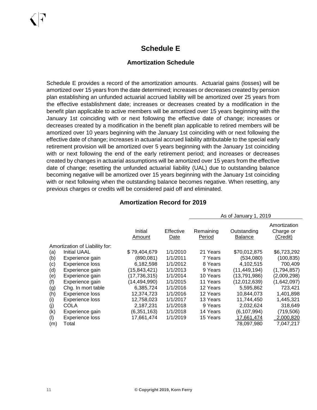### **Schedule E**

### **Amortization Schedule**

Schedule E provides a record of the amortization amounts. Actuarial gains (losses) will be amortized over 15 years from the date determined; increases or decreases created by pension plan establishing an unfunded actuarial accrued liability will be amortized over 25 years from the effective establishment date; increases or decreases created by a modification in the benefit plan applicable to active members will be amortized over 15 years beginning with the January 1st coinciding with or next following the effective date of change; increases or decreases created by a modification in the benefit plan applicable to retired members will be amortized over 10 years beginning with the January 1st coinciding with or next following the effective date of change; increases in actuarial accrued liability attributable to the special early retirement provision will be amortized over 5 years beginning with the January 1st coinciding with or next following the end of the early retirement period; and increases or decreases created by changes in actuarial assumptions will be amortized over 15 years from the effective date of change; resetting the unfunded actuarial liability (UAL) due to outstanding balance becoming negative will be amortized over 15 years beginning with the January 1st coinciding with or next following when the outstanding balance becomes negative. When resetting, any previous charges or credits will be considered paid off and eliminated.

|     |                                |                   |                   | 1100110011<br>.     |                               |                                       |  |  |
|-----|--------------------------------|-------------------|-------------------|---------------------|-------------------------------|---------------------------------------|--|--|
|     |                                | Initial<br>Amount | Effective<br>Date | Remaining<br>Period | Outstanding<br><b>Balance</b> | Amortization<br>Charge or<br>(Credit) |  |  |
|     | Amortization of Liability for: |                   |                   |                     |                               |                                       |  |  |
| (a) | <b>Initial UAAL</b>            | \$79,404,679      | 1/1/2010          | 21 Years            | \$70,012,875                  | \$6,723,292                           |  |  |
| (b) | Experience gain                | (890, 081)        | 1/1/2011          | 7 Years             | (534,080)                     | (100, 835)                            |  |  |
| (c) | Experience loss                | 6,182,598         | 1/1/2012          | 8 Years             | 4,102,515                     | 700,409                               |  |  |
| (d) | Experience gain                | (15, 843, 421)    | 1/1/2013          | 9 Years             | (11, 449, 194)                | (1,794,857)                           |  |  |
| (e) | Experience gain                | (17, 736, 315)    | 1/1/2014          | 10 Years            | (13, 791, 986)                | (2,009,298)                           |  |  |
| (f) | Experience gain                | (14,494,990)      | 1/1/2015          | 11 Years            | (12,012,639)                  | (1,642,097)                           |  |  |
| (g) | Chg. In mort table             | 6,385,724         | 1/1/2016          | 12 Years            | 5,595,862                     | 723,421                               |  |  |
| (h) | Experience loss                | 12.374.723        | 1/1/2016          | 12 Years            | 10,844,073                    | 1,401,898                             |  |  |
| (i) | Experience loss                | 12,758,023        | 1/1/2017          | 13 Years            | 11,744,450                    | 1,445,321                             |  |  |
| (j) | COLA                           | 2,187,231         | 1/1/2018          | 9 Years             | 2,032,624                     | 318,649                               |  |  |
| (k) | Experience gain                | (6,351,163)       | 1/1/2018          | 14 Years            | (6, 107, 994)                 | (719, 506)                            |  |  |
| (1) | <b>Experience loss</b>         | 17,661,474        | 1/1/2019          | 15 Years            | 17,661,474                    | 2,000,820                             |  |  |
| (m) | Total                          |                   |                   |                     | 78,097,980                    | 7,047,217                             |  |  |

As of January 1, 2019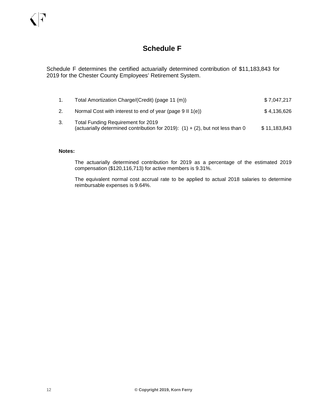### **Schedule F**

Schedule F determines the certified actuarially determined contribution of \$11,183,843 for 2019 for the Chester County Employees' Retirement System.

1. Total Amortization Charge/(Credit) (page 11 (m)) \$ 7,047,217 2. Normal Cost with interest to end of year (page 9 II 1(e)) \$4,136,626 3. Total Funding Requirement for 2019 (actuarially determined contribution for 2019):  $(1) + (2)$ , but not less than 0 \$ 11,183,843

#### **Notes:**

The actuarially determined contribution for 2019 as a percentage of the estimated 2019 compensation (\$120,116,713) for active members is 9.31%.

The equivalent normal cost accrual rate to be applied to actual 2018 salaries to determine reimbursable expenses is 9.64%.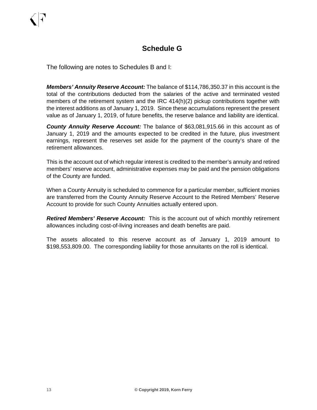### **Schedule G**

The following are notes to Schedules B and I:

*Members' Annuity Reserve Account:* The balance of \$114,786,350.37 in this account is the total of the contributions deducted from the salaries of the active and terminated vested members of the retirement system and the IRC 414(h)(2) pickup contributions together with the interest additions as of January 1, 2019. Since these accumulations represent the present value as of January 1, 2019, of future benefits, the reserve balance and liability are identical.

*County Annuity Reserve Account:* The balance of \$63,081,915.66 in this account as of January 1, 2019 and the amounts expected to be credited in the future, plus investment earnings, represent the reserves set aside for the payment of the county's share of the retirement allowances.

This is the account out of which regular interest is credited to the member's annuity and retired members' reserve account, administrative expenses may be paid and the pension obligations of the County are funded.

When a County Annuity is scheduled to commence for a particular member, sufficient monies are transferred from the County Annuity Reserve Account to the Retired Members' Reserve Account to provide for such County Annuities actually entered upon.

*Retired Members' Reserve Account:*This is the account out of which monthly retirement allowances including cost-of-living increases and death benefits are paid.

The assets allocated to this reserve account as of January 1, 2019 amount to \$198,553,809.00. The corresponding liability for those annuitants on the roll is identical.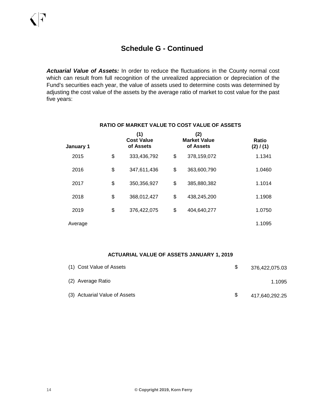*Actuarial Value of Assets:* In order to reduce the fluctuations in the County normal cost which can result from full recognition of the unrealized appreciation or depreciation of the Fund's securities each year, the value of assets used to determine costs was determined by adjusting the cost value of the assets by the average ratio of market to cost value for the past five years:

| January 1 | (1)<br><b>Cost Value</b><br>of Assets | (2)<br><b>Market Value</b><br>of Assets | Ratio<br>(2) / (1) |  |  |
|-----------|---------------------------------------|-----------------------------------------|--------------------|--|--|
| 2015      | \$<br>333,436,792                     | \$<br>378,159,072                       | 1.1341             |  |  |
| 2016      | \$<br>347,611,436                     | \$<br>363,600,790                       | 1.0460             |  |  |
| 2017      | \$<br>350,356,927                     | \$<br>385,880,382                       | 1.1014             |  |  |
| 2018      | \$<br>368,012,427                     | \$<br>438,245,200                       | 1.1908             |  |  |
| 2019      | \$<br>376,422,075                     | \$<br>404,640,277                       | 1.0750             |  |  |
| Average   |                                       |                                         | 1.1095             |  |  |

#### **RATIO OF MARKET VALUE TO COST VALUE OF ASSETS**

#### **ACTUARIAL VALUE OF ASSETS JANUARY 1, 2019**

| (1) Cost Value of Assets      | \$ | 376,422,075.03 |
|-------------------------------|----|----------------|
| (2) Average Ratio             |    | 1.1095         |
| (3) Actuarial Value of Assets | S. | 417,640,292.25 |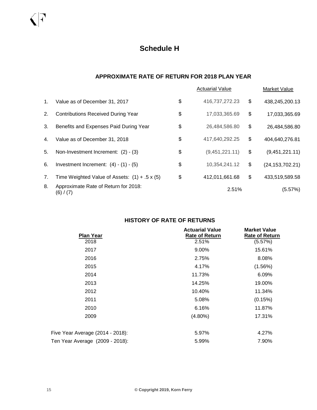#### **APPROXIMATE RATE OF RETURN FOR 2018 PLAN YEAR**

|             |                                                      | <b>Actuarial Value</b> | Market Value            |
|-------------|------------------------------------------------------|------------------------|-------------------------|
| $1_{\cdot}$ | Value as of December 31, 2017                        | \$<br>416,737,272.23   | \$<br>438,245,200.13    |
| 2.          | <b>Contributions Received During Year</b>            | \$<br>17,033,365.69    | \$<br>17,033,365.69     |
| 3.          | Benefits and Expenses Paid During Year               | \$<br>26,484,586.80    | \$<br>26,484,586.80     |
| 4.          | Value as of December 31, 2018                        | \$<br>417,640,292.25   | \$<br>404,640,276.81    |
| 5.          | Non-Investment Increment: (2) - (3)                  | \$<br>(9,451,221.11)   | \$<br>(9,451,221.11)    |
| 6.          | Investment Increment: $(4) - (1) - (5)$              | \$<br>10,354,241.12    | \$<br>(24, 153, 702.21) |
| 7.          | Time Weighted Value of Assets: $(1) + .5 \times (5)$ | \$<br>412,011,661.68   | \$<br>433,519,589.58    |
| 8.          | Approximate Rate of Return for 2018:<br>(6) / (7)    | 2.51%                  | (5.57%)                 |

### **HISTORY OF RATE OF RETURNS**

| <b>Plan Year</b>                 | <b>Actuarial Value</b><br><b>Rate of Return</b> | <b>Market Value</b><br><b>Rate of Return</b> |
|----------------------------------|-------------------------------------------------|----------------------------------------------|
| 2018                             | 2.51%                                           | (5.57%)                                      |
| 2017                             | 9.00%                                           | 15.61%                                       |
| 2016                             | 2.75%                                           | 8.08%                                        |
| 2015                             | 4.17%                                           | (1.56%)                                      |
| 2014                             | 11.73%                                          | 6.09%                                        |
| 2013                             | 14.25%                                          | 19.00%                                       |
| 2012                             | 10.40%                                          | 11.34%                                       |
| 2011                             | 5.08%                                           | (0.15%)                                      |
| 2010                             | 6.16%                                           | 11.87%                                       |
| 2009                             | $(4.80\%)$                                      | 17.31%                                       |
| Five Year Average (2014 - 2018): | 5.97%                                           | 4.27%                                        |
| Ten Year Average (2009 - 2018):  | 5.99%                                           | 7.90%                                        |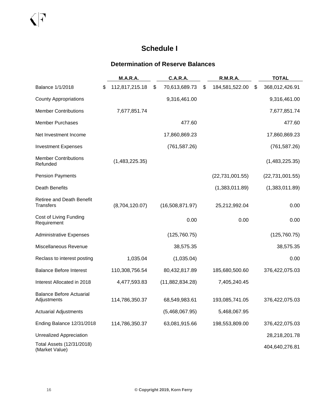## **Schedule I**

### **Determination of Reserve Balances**

|                                                | <b>M.A.R.A.</b>      | <b>C.A.R.A.</b> |                 | <b>R.M.R.A.</b> |                   | <b>TOTAL</b>         |
|------------------------------------------------|----------------------|-----------------|-----------------|-----------------|-------------------|----------------------|
| Balance 1/1/2018                               | \$<br>112,817,215.18 | \$              | 70,613,689.73   | \$              | 184,581,522.00    | \$<br>368,012,426.91 |
| <b>County Appropriations</b>                   |                      |                 | 9,316,461.00    |                 |                   | 9,316,461.00         |
| <b>Member Contributions</b>                    | 7,677,851.74         |                 |                 |                 |                   | 7,677,851.74         |
| <b>Member Purchases</b>                        |                      |                 | 477.60          |                 |                   | 477.60               |
| Net Investment Income                          |                      |                 | 17,860,869.23   |                 |                   | 17,860,869.23        |
| <b>Investment Expenses</b>                     |                      |                 | (761, 587.26)   |                 |                   | (761, 587.26)        |
| <b>Member Contributions</b><br>Refunded        | (1,483,225.35)       |                 |                 |                 |                   | (1,483,225.35)       |
| <b>Pension Payments</b>                        |                      |                 |                 |                 | (22, 731, 001.55) | (22, 731, 001.55)    |
| <b>Death Benefits</b>                          |                      |                 |                 |                 | (1,383,011.89)    | (1,383,011.89)       |
| Retiree and Death Benefit<br><b>Transfers</b>  | (8,704,120.07)       |                 | (16,508,871.97) |                 | 25,212,992.04     | 0.00                 |
| Cost of Living Funding<br>Requirement          |                      |                 | 0.00            |                 | 0.00              | 0.00                 |
| <b>Administrative Expenses</b>                 |                      |                 | (125, 760.75)   |                 |                   | (125, 760.75)        |
| Miscellaneous Revenue                          |                      |                 | 38,575.35       |                 |                   | 38,575.35            |
| Reclass to interest posting                    | 1,035.04             |                 | (1,035.04)      |                 |                   | 0.00                 |
| <b>Balance Before Interest</b>                 | 110,308,756.54       |                 | 80,432,817.89   |                 | 185,680,500.60    | 376,422,075.03       |
| Interest Allocated in 2018                     | 4,477,593.83         |                 | (11,882,834.28) |                 | 7,405,240.45      |                      |
| <b>Balance Before Actuarial</b><br>Adjustments | 114,786,350.37       |                 | 68,549,983.61   |                 | 193,085,741.05    | 376,422,075.03       |
| <b>Actuarial Adjustments</b>                   |                      |                 | (5,468,067.95)  |                 | 5,468,067.95      |                      |
| Ending Balance 12/31/2018                      | 114,786,350.37       |                 | 63,081,915.66   |                 | 198,553,809.00    | 376,422,075.03       |
| Unrealized Appreciation                        |                      |                 |                 |                 |                   | 28,218,201.78        |
| Total Assets (12/31/2018)<br>(Market Value)    |                      |                 |                 |                 |                   | 404,640,276.81       |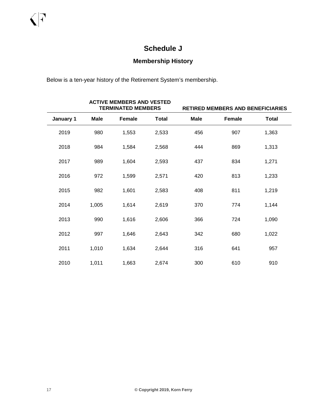### **Schedule J**

### **Membership History**

Below is a ten-year history of the Retirement System's membership.

|           |             | <b>ACTIVE MEMBERS AND VESTED</b><br><b>TERMINATED MEMBERS</b> | <b>RETIRED MEMBERS AND BENEFICIARIES</b> |             |        |              |  |
|-----------|-------------|---------------------------------------------------------------|------------------------------------------|-------------|--------|--------------|--|
| January 1 | <b>Male</b> | Female                                                        | <b>Total</b>                             | <b>Male</b> | Female | <b>Total</b> |  |
| 2019      | 980         | 1,553                                                         | 2,533                                    | 456         | 907    | 1,363        |  |
| 2018      | 984         | 1,584                                                         | 2,568                                    | 444         | 869    | 1,313        |  |
| 2017      | 989         | 1,604                                                         | 2,593                                    | 437         | 834    | 1,271        |  |
| 2016      | 972         | 1,599                                                         | 2,571                                    | 420         | 813    | 1,233        |  |
| 2015      | 982         | 1,601                                                         | 2,583                                    | 408         | 811    | 1,219        |  |
| 2014      | 1,005       | 1,614                                                         | 2,619                                    | 370         | 774    | 1,144        |  |
| 2013      | 990         | 1,616                                                         | 2,606                                    | 366         | 724    | 1,090        |  |
| 2012      | 997         | 1,646                                                         | 2,643                                    | 342         | 680    | 1,022        |  |
| 2011      | 1,010       | 1,634                                                         | 2,644                                    | 316         | 641    | 957          |  |
| 2010      | 1,011       | 1,663                                                         | 2,674                                    | 300         | 610    | 910          |  |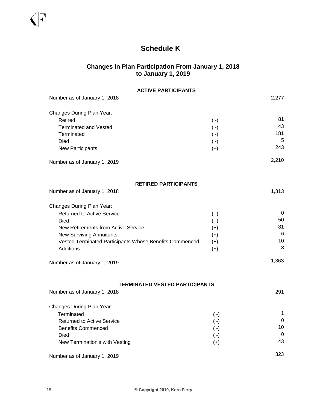### **Schedule K**

### **Changes in Plan Participation From January 1, 2018 to January 1, 2019**

| <b>ACTIVE PARTICIPANTS</b>                                            |                    |           |
|-----------------------------------------------------------------------|--------------------|-----------|
| Number as of January 1, 2018                                          |                    | 2,277     |
| Changes During Plan Year:                                             |                    |           |
| Retired                                                               | $(\cdot)$          | 81        |
| <b>Terminated and Vested</b>                                          | $(\cdot)$          | 43<br>181 |
| Terminated<br><b>Died</b>                                             | $(\cdot)$          | 5         |
| <b>New Participants</b>                                               | $(\cdot)$<br>$(+)$ | 243       |
| Number as of January 1, 2019                                          |                    | 2,210     |
|                                                                       |                    |           |
| <b>RETIRED PARTICIPANTS</b>                                           |                    |           |
| Number as of January 1, 2018                                          |                    | 1,313     |
| Changes During Plan Year:                                             |                    |           |
| <b>Returned to Active Service</b>                                     | $(\cdot)$          | 0         |
| Died                                                                  | $(\cdot)$          | 50        |
| <b>New Retirements from Active Service</b>                            | $(+)$              | 81        |
| <b>New Surviving Annuitants</b>                                       | $(+)$              | 6         |
| Vested Terminated Participants Whose Benefits Commenced               | $(+)$              | 10        |
| Additions                                                             | $(+)$              | 3         |
| Number as of January 1, 2019                                          |                    | 1,363     |
|                                                                       |                    |           |
| <b>TERMINATED VESTED PARTICIPANTS</b><br>Number as of January 1, 2018 |                    | 291       |
|                                                                       |                    |           |
| Changes During Plan Year:                                             |                    |           |
| Terminated                                                            | $(\cdot)$          | 1         |
| <b>Returned to Active Service</b>                                     | $(\cdot)$          | 0         |
| <b>Benefits Commenced</b>                                             | $(\, \text{-})$    | 10<br>0   |
| Died                                                                  | $(\cdot)$          | 43        |
| New Termination's with Vesting                                        | $(+)$              |           |
| Number as of January 1, 2019                                          |                    | 323       |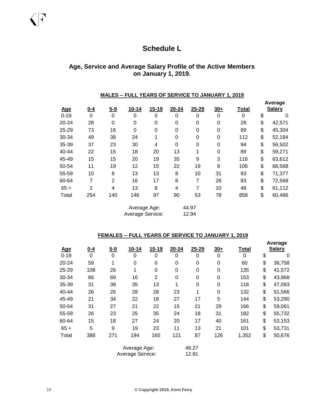### **Schedule L**

### **Age, Service and Average Salary Profile of the Active Members on January 1, 2019.**

#### **MALES -- FULL YEARS OF SERVICE TO JANUARY 1, 2019**

| <u>Age</u> | $0 - 4$        | $5 - 9$        | $10 - 14$        | $15 - 19$ | $20 - 24$        | 25-29 | $30+$            | Total | Average<br><b>Salary</b> |
|------------|----------------|----------------|------------------|-----------|------------------|-------|------------------|-------|--------------------------|
| $0 - 19$   | 0              | $\mathbf 0$    | 0                | 0         | 0                | 0     | 0                | 0     | \$<br>0                  |
| $20 - 24$  | 28             | 0              | 0                | 0         | $\mathbf 0$      | 0     | $\mathbf 0$      | 28    | \$<br>42,571             |
| 25-29      | 73             | 16             | $\mathbf 0$      | 0         | $\mathbf 0$      | 0     | $\boldsymbol{0}$ | 89    | \$<br>45,304             |
| 30-34      | 49             | 38             | 24               | 1         | $\mathbf 0$      | 0     | $\boldsymbol{0}$ | 112   | \$<br>52,184             |
| 35-39      | 37             | 23             | 30               | 4         | $\boldsymbol{0}$ | 0     | $\boldsymbol{0}$ | 94    | \$<br>56,502             |
| 40-44      | 22             | 15             | 18               | 20        | 13               | 1     | $\boldsymbol{0}$ | 89    | \$<br>59,271             |
| 45-49      | 15             | 15             | 20               | 19        | 35               | 9     | 3                | 116   | \$<br>63,612             |
| 50-54      | 11             | 19             | 12               | 15        | 22               | 19    | 8                | 106   | \$<br>68,568             |
| 55-59      | 10             | 8              | 13               | 13        | 8                | 10    | 31               | 93    | \$<br>71,377             |
| 60-64      | 7              | $\overline{2}$ | 16               | 17        | 8                | 7     | 26               | 83    | \$<br>72,568             |
| $65 +$     | $\overline{2}$ | 4              | 13               | 8         | $\overline{4}$   | 7     | 10               | 48    | \$<br>61,112             |
| Total      | 254            | 140            | 146              | 97        | 90               | 53    | 78               | 858   | \$<br>60,486             |
|            |                |                | Average Age:     |           |                  | 44.97 |                  |       |                          |
|            |                |                | Average Service: |           |                  | 12.94 |                  |       |                          |

#### **FEMALES -- FULL YEARS OF SERVICE TO JANUARY 1, 2019**

| <u>Age</u> | $0 - 4$     | $5 - 9$     | $10 - 14$        | $15 - 19$        | 20-24 | 25-29    | $30+$       | Total       | Average<br><b>Salary</b> |
|------------|-------------|-------------|------------------|------------------|-------|----------|-------------|-------------|--------------------------|
| $0 - 19$   | $\mathbf 0$ | $\mathbf 0$ | 0                | 0                | 0     | 0        | 0           | $\mathbf 0$ | \$<br>0                  |
| 20-24      | 59          | 1           | $\mathbf 0$      | 0                | 0     | 0        | 0           | 60          | \$<br>36,758             |
| 25-29      | 108         | 26          | 1                | $\boldsymbol{0}$ | 0     | 0        | $\mathbf 0$ | 135         | \$<br>41,572             |
| 30-34      | 66          | 69          | 16               | $\overline{2}$   | 0     | 0        | 0           | 153         | \$<br>43,968             |
| 35-39      | 31          | 38          | 35               | 13               | 1     | $\Omega$ | 0           | 118         | \$<br>47,093             |
| 40-44      | 26          | 26          | 28               | 28               | 23    | 1        | $\mathbf 0$ | 132         | \$<br>51,566             |
| 45-49      | 21          | 34          | 22               | 18               | 27    | 17       | 5           | 144         | \$<br>53,290             |
| 50-54      | 31          | 27          | 21               | 22               | 15    | 21       | 29          | 166         | \$<br>59,061             |
| 55-59      | 26          | 23          | 25               | 35               | 24    | 18       | 31          | 182         | \$<br>55,732             |
| 60-64      | 15          | 18          | 27               | 24               | 20    | 17       | 40          | 161         | \$<br>53,153             |
| $65 +$     | 5           | 9           | 19               | 23               | 11    | 13       | 21          | 101         | \$<br>53,731             |
| Total      | 388         | 271         | 194              | 165              | 121   | 87       | 126         | 1,352       | \$<br>50,676             |
|            |             |             | Average Age:     |                  |       | 46.27    |             |             |                          |
|            |             |             | Average Service: |                  |       | 12.81    |             |             |                          |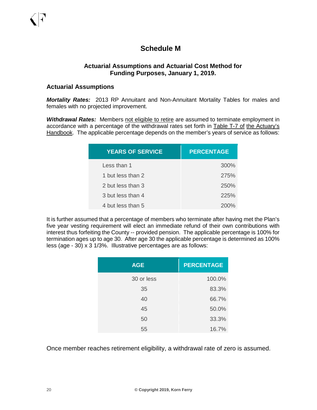### **Schedule M**

#### **Actuarial Assumptions and Actuarial Cost Method for Funding Purposes, January 1, 2019.**

#### **Actuarial Assumptions**

*Mortality Rates:* 2013 RP Annuitant and Non-Annuitant Mortality Tables for males and females with no projected improvement.

**Withdrawal Rates:** Members not eligible to retire are assumed to terminate employment in accordance with a percentage of the withdrawal rates set forth in Table T-7 of the Actuary's Handbook. The applicable percentage depends on the member's years of service as follows:

| <b>YEARS OF SERVICE</b> | <b>PERCENTAGE</b> |
|-------------------------|-------------------|
| Less than 1             | 300%              |
| 1 but less than 2       | 275%              |
| 2 but less than 3       | 250%              |
| 3 but less than 4       | 225%              |
| 4 but less than 5       | 200%              |

It is further assumed that a percentage of members who terminate after having met the Plan's five year vesting requirement will elect an immediate refund of their own contributions with interest thus forfeiting the County -- provided pension. The applicable percentage is 100% for termination ages up to age 30. After age 30 the applicable percentage is determined as 100% less (age - 30) x 3 1/3%. Illustrative percentages are as follows:

| <b>AGE</b> | <b>PERCENTAGE</b> |
|------------|-------------------|
| 30 or less | 100.0%            |
| 35         | 83.3%             |
| 40         | 66.7%             |
| 45         | 50.0%             |
| 50         | 33.3%             |
| 55         | 16.7%             |

Once member reaches retirement eligibility, a withdrawal rate of zero is assumed.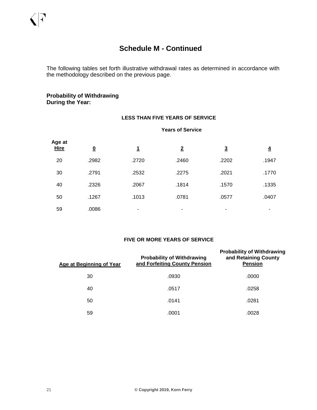The following tables set forth illustrative withdrawal rates as determined in accordance with the methodology described on the previous page.

#### **Probability of Withdrawing During the Year:**

#### **LESS THAN FIVE YEARS OF SERVICE**

#### **Years of Service**

| Age at<br><b>Hire</b> | $\overline{\mathbf{0}}$ | <u>1</u> | $\overline{2}$           | $\overline{3}$ | $\overline{4}$ |
|-----------------------|-------------------------|----------|--------------------------|----------------|----------------|
| 20                    | .2982                   | .2720    | .2460                    | .2202          | .1947          |
| 30                    | .2791                   | .2532    | .2275                    | .2021          | .1770          |
| 40                    | .2326                   | .2067    | .1814                    | .1570          | .1335          |
| 50                    | .1267                   | .1013    | .0781                    | .0577          | .0407          |
| 59                    | .0086                   | ٠        | $\overline{\phantom{0}}$ | -              |                |

#### **FIVE OR MORE YEARS OF SERVICE**

| <b>Age at Beginning of Year</b> | <b>Probability of Withdrawing</b><br>and Forfeiting County Pension | <b>Probability of Withdrawing</b><br>and Retaining County<br><b>Pension</b> |  |  |
|---------------------------------|--------------------------------------------------------------------|-----------------------------------------------------------------------------|--|--|
| 30                              | .0930                                                              | .0000                                                                       |  |  |
| 40                              | .0517                                                              | .0258                                                                       |  |  |
| 50                              | .0141                                                              | .0281                                                                       |  |  |
| 59                              | .0001                                                              | .0028                                                                       |  |  |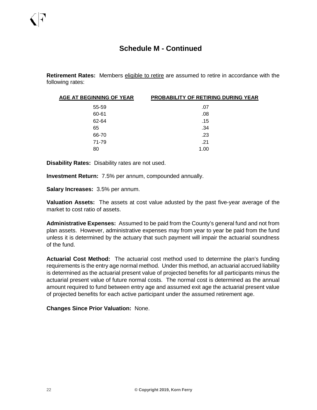**Retirement Rates:** Members eligible to retire are assumed to retire in accordance with the following rates:

| AGE AT BEGINNING OF YEAR | <b>PROBABILITY OF RETIRING DURING YEAR</b> |
|--------------------------|--------------------------------------------|
| 55-59                    | .07                                        |
| 60-61                    | .08                                        |
| 62-64                    | .15                                        |
| 65                       | .34                                        |
| 66-70                    | .23                                        |
| 71-79                    | .21                                        |
| 80                       | 1.00                                       |

**Disability Rates:** Disability rates are not used.

**Investment Return:** 7.5% per annum, compounded annually.

**Salary Increases:** 3.5% per annum.

**Valuation Assets:** The assets at cost value adusted by the past five-year average of the market to cost ratio of assets.

**Administrative Expenses:** Assumed to be paid from the County's general fund and not from plan assets. However, administrative expenses may from year to year be paid from the fund unless it is determined by the actuary that such payment will impair the actuarial soundness of the fund.

**Actuarial Cost Method:** The actuarial cost method used to determine the plan's funding requirements is the entry age normal method. Under this method, an actuarial accrued liability is determined as the actuarial present value of projected benefits for all participants minus the actuarial present value of future normal costs. The normal cost is determined as the annual amount required to fund between entry age and assumed exit age the actuarial present value of projected benefits for each active participant under the assumed retirement age.

**Changes Since Prior Valuation:** None.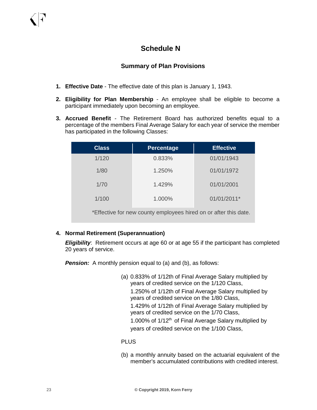### **Schedule N**

### **Summary of Plan Provisions**

- **1. Effective Date** The effective date of this plan is January 1, 1943.
- **2. Eligibility for Plan Membership** An employee shall be eligible to become a participant immediately upon becoming an employee.
- **3. Accrued Benefit** The Retirement Board has authorized benefits equal to a percentage of the members Final Average Salary for each year of service the member has participated in the following Classes:

| <b>Class</b>                                                     | <b>Percentage</b> | <b>Effective</b> |  |  |  |  |  |
|------------------------------------------------------------------|-------------------|------------------|--|--|--|--|--|
| 1/120                                                            | 0.833%            | 01/01/1943       |  |  |  |  |  |
| 1/80                                                             | 1.250%            | 01/01/1972       |  |  |  |  |  |
| 1/70                                                             | 1.429%            | 01/01/2001       |  |  |  |  |  |
| 1/100                                                            | 1.000%            | 01/01/2011*      |  |  |  |  |  |
| *Effective for new county employees hired on or after this date. |                   |                  |  |  |  |  |  |

#### **4. Normal Retirement (Superannuation)**

*Eligibility*: Retirement occurs at age 60 or at age 55 if the participant has completed 20 years of service.

**Pension:** A monthly pension equal to (a) and (b), as follows:

(a) 0.833% of 1/12th of Final Average Salary multiplied by years of credited service on the 1/120 Class, 1.250% of 1/12th of Final Average Salary multiplied by years of credited service on the 1/80 Class, 1.429% of 1/12th of Final Average Salary multiplied by years of credited service on the 1/70 Class, 1.000% of  $1/12<sup>th</sup>$  of Final Average Salary multiplied by years of credited service on the 1/100 Class,

#### PLUS

(b) a monthly annuity based on the actuarial equivalent of the member's accumulated contributions with credited interest.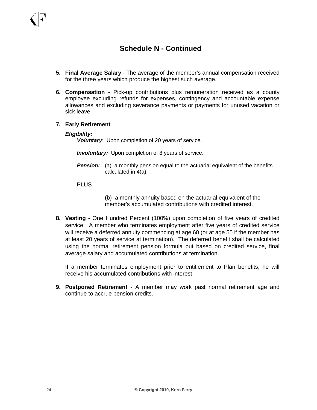- **5. Final Average Salary**  The average of the member's annual compensation received for the three years which produce the highest such average.
- **6. Compensation** Pick-up contributions plus remuneration received as a county employee excluding refunds for expenses, contingency and accountable expense allowances and excluding severance payments or payments for unused vacation or sick leave.
- **7. Early Retirement**

#### *Eligibility:*

*Voluntary*: Upon completion of 20 years of service.

*Involuntary:* Upon completion of 8 years of service.

**Pension:** (a) a monthly pension equal to the actuarial equivalent of the benefits calculated in 4(a),

#### PLUS

(b) a monthly annuity based on the actuarial equivalent of the member's accumulated contributions with credited interest.

**8. Vesting** - One Hundred Percent (100%) upon completion of five years of credited service. A member who terminates employment after five years of credited service will receive a deferred annuity commencing at age 60 (or at age 55 if the member has at least 20 years of service at termination). The deferred benefit shall be calculated using the normal retirement pension formula but based on credited service, final average salary and accumulated contributions at termination.

If a member terminates employment prior to entitlement to Plan benefits, he will receive his accumulated contributions with interest.

**9. Postponed Retirement** - A member may work past normal retirement age and continue to accrue pension credits.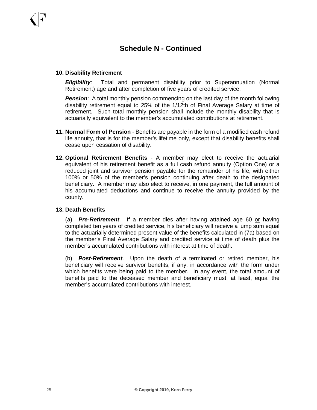#### **10. Disability Retirement**

*Eligibility*: Total and permanent disability prior to Superannuation (Normal Retirement) age and after completion of five years of credited service.

*Pension*: A total monthly pension commencing on the last day of the month following disability retirement equal to 25% of the 1/12th of Final Average Salary at time of retirement. Such total monthly pension shall include the monthly disability that is actuarially equivalent to the member's accumulated contributions at retirement.

- **11. Normal Form of Pension** Benefits are payable in the form of a modified cash refund life annuity, that is for the member's lifetime only, except that disability benefits shall cease upon cessation of disability.
- **12. Optional Retirement Benefits** A member may elect to receive the actuarial equivalent of his retirement benefit as a full cash refund annuity (Option One) or a reduced joint and survivor pension payable for the remainder of his life, with either 100% or 50% of the member's pension continuing after death to the designated beneficiary. A member may also elect to receive, in one payment, the full amount of his accumulated deductions and continue to receive the annuity provided by the county.

#### **13. Death Benefits**

(a) *Pre-Retirement*. If a member dies after having attained age 60 or having completed ten years of credited service, his beneficiary will receive a lump sum equal to the actuarially determined present value of the benefits calculated in (7a) based on the member's Final Average Salary and credited service at time of death plus the member's accumulated contributions with interest at time of death.

(b) *Post-Retirement*. Upon the death of a terminated or retired member, his beneficiary will receive survivor benefits, if any, in accordance with the form under which benefits were being paid to the member. In any event, the total amount of benefits paid to the deceased member and beneficiary must, at least, equal the member's accumulated contributions with interest.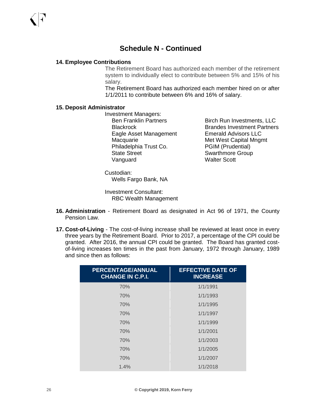#### **14. Employee Contributions**

The Retirement Board has authorized each member of the retirement system to individually elect to contribute between 5% and 15% of his salary.

The Retirement Board has authorized each member hired on or after 1/1/2011 to contribute between 6% and 16% of salary.

#### **15. Deposit Administrator**

Investment Managers: Eagle Asset Management Emerald Advisors LLC Macquarie Met West Capital Mngmt Philadelphia Trust Co. PGIM (Prudential) State Street Street Swarthmore Group Vanguard Walter Scott

Ben Franklin Partners Birch Run Investments, LLC Blackrock Brandes Investment Partners

Custodian: Wells Fargo Bank, NA

Investment Consultant: RBC Wealth Management

- **16. Administration** Retirement Board as designated in Act 96 of 1971, the County Pension Law.
- **17. Cost-of-Living** The cost-of-living increase shall be reviewed at least once in every three years by the Retirement Board. Prior to 2017, a percentage of the CPI could be granted. After 2016, the annual CPI could be granted. The Board has granted costof-living increases ten times in the past from January, 1972 through January, 1989 and since then as follows:

| <b>PERCENTAGE/ANNUAL</b><br><b>CHANGE IN C.P.I.</b> | <b>EFFECTIVE DATE OF</b><br><b>INCREASE</b> |
|-----------------------------------------------------|---------------------------------------------|
| 70%                                                 | 1/1/1991                                    |
| 70%                                                 | 1/1/1993                                    |
| 70%                                                 | 1/1/1995                                    |
| 70%                                                 | 1/1/1997                                    |
| 70%                                                 | 1/1/1999                                    |
| 70%                                                 | 1/1/2001                                    |
| 70%                                                 | 1/1/2003                                    |
| 70%                                                 | 1/1/2005                                    |
| 70%                                                 | 1/1/2007                                    |
| 1.4%                                                | 1/1/2018                                    |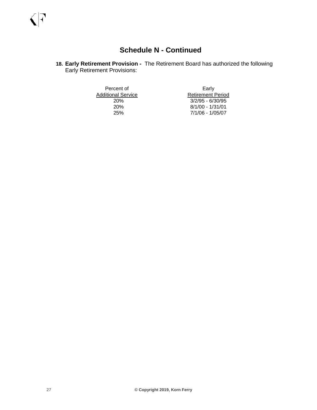**18. Early Retirement Provision -** The Retirement Board has authorized the following Early Retirement Provisions:

Additional Service<br>20%

Percent of Early<br>
Stational Service<br>
Entiment Period<br>
Retirement Period 20% 3/2/95 - 6/30/95<br>20% 8/1/00 - 1/31/01 20% 8/1/00 - 1/31/01 25% 7/1/06 - 1/05/07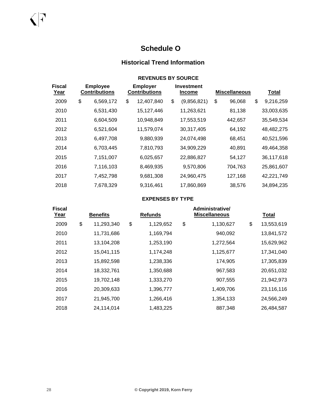### **Schedule O**

### **Historical Trend Information**

|                              |                                         | <b>REVENUES BY SOURCE</b>               |                                    |                      |                 |
|------------------------------|-----------------------------------------|-----------------------------------------|------------------------------------|----------------------|-----------------|
| <b>Fiscal</b><br><u>Year</u> | <b>Employee</b><br><b>Contributions</b> | <b>Employer</b><br><b>Contributions</b> | <b>Investment</b><br><b>Income</b> | <b>Miscellaneous</b> | <b>Total</b>    |
| 2009                         | \$<br>6,569,172                         | \$<br>12,407,840                        | \$<br>(9,856,821)                  | \$<br>96,068         | \$<br>9,216,259 |
| 2010                         | 6,531,430                               | 15,127,446                              | 11,263,621                         | 81,138               | 33,003,635      |
| 2011                         | 6,604,509                               | 10,948,849                              | 17,553,519                         | 442,657              | 35,549,534      |
| 2012                         | 6,521,604                               | 11,579,074                              | 30,317,405                         | 64,192               | 48,482,275      |
| 2013                         | 6,497,708                               | 9,880,939                               | 24,074,498                         | 68,451               | 40,521,596      |
| 2014                         | 6,703,445                               | 7,810,793                               | 34,909,229                         | 40,891               | 49,464,358      |
| 2015                         | 7,151,007                               | 6,025,657                               | 22,886,827                         | 54,127               | 36,117,618      |
| 2016                         | 7,116,103                               | 8,469,935                               | 9,570,806                          | 704,763              | 25,861,607      |
| 2017                         | 7,452,798                               | 9,681,308                               | 24,960,475                         | 127,168              | 42,221,749      |
| 2018                         | 7,678,329                               | 9,316,461                               | 17,860,869                         | 38,576               | 34,894,235      |

#### **EXPENSES BY TYPE**

| <b>Fiscal</b> |                  |                 | Administrative/      |                  |
|---------------|------------------|-----------------|----------------------|------------------|
| Year          | <b>Benefits</b>  | <b>Refunds</b>  | <b>Miscellaneous</b> | <b>Total</b>     |
| 2009          | \$<br>11,293,340 | \$<br>1,129,652 | \$<br>1,130,627      | \$<br>13,553,619 |
| 2010          | 11,731,686       | 1,169,794       | 940,092              | 13,841,572       |
| 2011          | 13,104,208       | 1,253,190       | 1,272,564            | 15,629,962       |
| 2012          | 15,041,115       | 1,174,248       | 1,125,677            | 17,341,040       |
| 2013          | 15,892,598       | 1,238,336       | 174,905              | 17,305,839       |
| 2014          | 18,332,761       | 1,350,688       | 967,583              | 20,651,032       |
| 2015          | 19,702,148       | 1,333,270       | 907,555              | 21,942,973       |
| 2016          | 20,309,633       | 1,396,777       | 1,409,706            | 23,116,116       |
| 2017          | 21,945,700       | 1,266,416       | 1,354,133            | 24,566,249       |
| 2018          | 24,114,014       | 1,483,225       | 887,348              | 26,484,587       |
|               |                  |                 |                      |                  |

 $\sqrt{|\cdot|}$